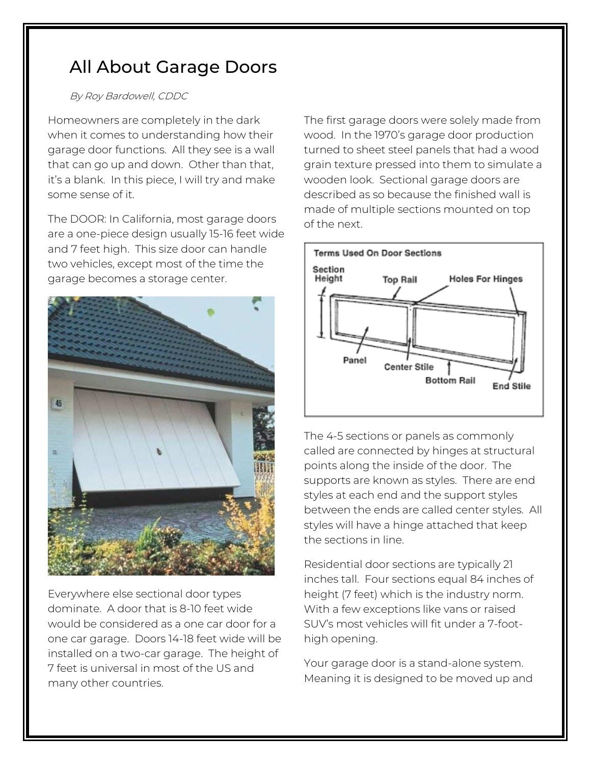## All About Garage Doors

## By Roy Bardowell, CDDC

Homeowners are completely in the dark when it comes to understanding how their garage door functions. All they see is a wall that can go up and down. Other than that, it's a blank. In this piece, I will try and make some sense of it.

The DOOR: In California, most garage doors are a one-piece design usually 15-16 feet wide and 7 feet high. This size door can handle two vehicles, except most of the time the garage becomes a storage center.



Everywhere else sectional door types dominate. A door that is 8-10 feet wide would be considered as a one car door for a one car garage. Doors 14-18 feet wide will be installed on a two-car garage. The height of 7 feet is universal in most of the US and many other countries.

The first garage doors were solely made from wood. In the 1970's garage door production turned to sheet steel panels that had a wood grain texture pressed into them to simulate a wooden look. Sectional garage doors are described as so because the finished wall is made of multiple sections mounted on top of the next.



The 4-5 sections or panels as commonly called are connected by hinges at structural points along the inside of the door. The supports are known as styles. There are end styles at each end and the support styles between the ends are called center styles. All styles will have a hinge attached that keep the sections in line.

Residential door sections are typically 21 inches tall. Four sections equal 84 inches of height (7 feet) which is the industry norm. With a few exceptions like vans or raised SUV's most vehicles will fit under a 7-foothigh opening.

Your garage door is a stand-alone system. Meaning it is designed to be moved up and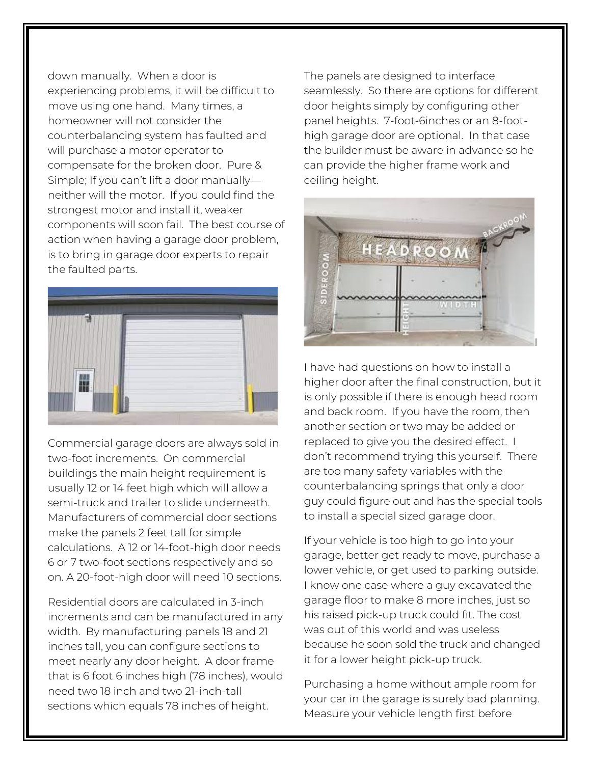down manually. When a door is experiencing problems, it will be difficult to move using one hand. Many times, a homeowner will not consider the counterbalancing system has faulted and will purchase a motor operator to compensate for the broken door. Pure & Simple; If you can't lift a door manually neither will the motor. If you could find the strongest motor and install it, weaker components will soon fail. The best course of action when having a garage door problem, is to bring in garage door experts to repair the faulted parts.



Commercial garage doors are always sold in two-foot increments. On commercial buildings the main height requirement is usually 12 or 14 feet high which will allow a semi-truck and trailer to slide underneath. Manufacturers of commercial door sections make the panels 2 feet tall for simple calculations. A 12 or 14-foot-high door needs 6 or 7 two-foot sections respectively and so on. A 20-foot-high door will need 10 sections.

Residential doors are calculated in 3-inch increments and can be manufactured in any width. By manufacturing panels 18 and 21 inches tall, you can configure sections to meet nearly any door height. A door frame that is 6 foot 6 inches high (78 inches), would need two 18 inch and two 21-inch-tall sections which equals 78 inches of height.

The panels are designed to interface seamlessly. So there are options for different door heights simply by configuring other panel heights. 7-foot-6inches or an 8-foothigh garage door are optional. In that case the builder must be aware in advance so he can provide the higher frame work and ceiling height.



I have had questions on how to install a higher door after the final construction, but it is only possible if there is enough head room and back room. If you have the room, then another section or two may be added or replaced to give you the desired effect. I don't recommend trying this yourself. There are too many safety variables with the counterbalancing springs that only a door guy could figure out and has the special tools to install a special sized garage door.

If your vehicle is too high to go into your garage, better get ready to move, purchase a lower vehicle, or get used to parking outside. I know one case where a guy excavated the garage floor to make 8 more inches, just so his raised pick-up truck could fit. The cost was out of this world and was useless because he soon sold the truck and changed it for a lower height pick-up truck.

Purchasing a home without ample room for your car in the garage is surely bad planning. Measure your vehicle length first before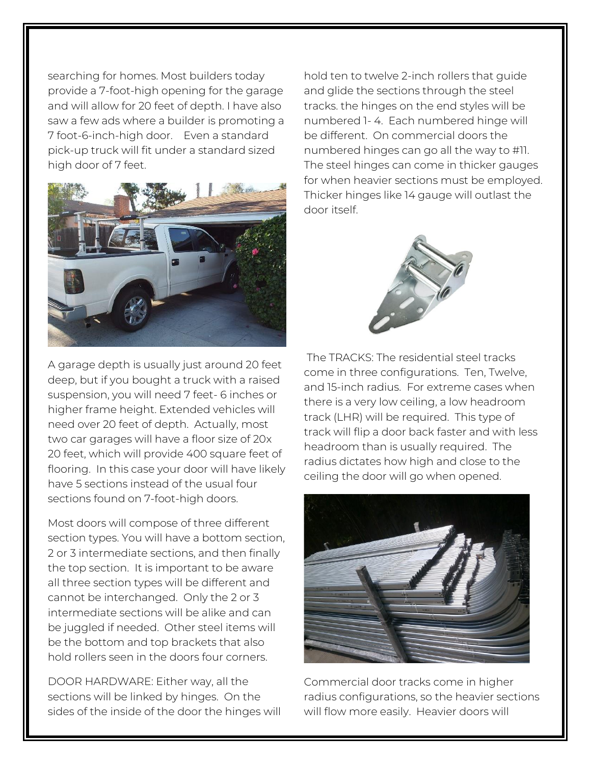searching for homes. Most builders today provide a 7-foot-high opening for the garage and will allow for 20 feet of depth. I have also saw a few ads where a builder is promoting a 7 foot-6-inch-high door. Even a standard pick-up truck will fit under a standard sized high door of 7 feet.



A garage depth is usually just around 20 feet deep, but if you bought a truck with a raised suspension, you will need 7 feet- 6 inches or higher frame height. Extended vehicles will need over 20 feet of depth. Actually, most two car garages will have a floor size of 20x 20 feet, which will provide 400 square feet of flooring. In this case your door will have likely have 5 sections instead of the usual four sections found on 7-foot-high doors.

Most doors will compose of three different section types. You will have a bottom section, 2 or 3 intermediate sections, and then finally the top section. It is important to be aware all three section types will be different and cannot be interchanged. Only the 2 or 3 intermediate sections will be alike and can be juggled if needed. Other steel items will be the bottom and top brackets that also hold rollers seen in the doors four corners.

DOOR HARDWARE: Either way, all the sections will be linked by hinges. On the sides of the inside of the door the hinges will

hold ten to twelve 2-inch rollers that guide and glide the sections through the steel tracks. the hinges on the end styles will be numbered 1- 4. Each numbered hinge will be different. On commercial doors the numbered hinges can go all the way to #11. The steel hinges can come in thicker gauges for when heavier sections must be employed. Thicker hinges like 14 gauge will outlast the door itself.



The TRACKS: The residential steel tracks come in three configurations. Ten, Twelve, and 15-inch radius. For extreme cases when there is a very low ceiling, a low headroom track (LHR) will be required. This type of track will flip a door back faster and with less headroom than is usually required. The radius dictates how high and close to the ceiling the door will go when opened.



Commercial door tracks come in higher radius configurations, so the heavier sections will flow more easily. Heavier doors will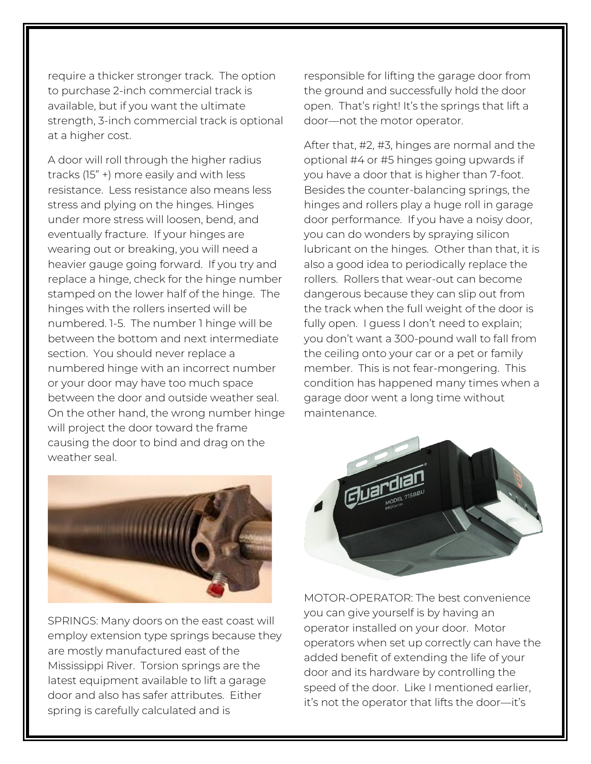require a thicker stronger track. The option to purchase 2-inch commercial track is available, but if you want the ultimate strength, 3-inch commercial track is optional at a higher cost.

A door will roll through the higher radius tracks (15" +) more easily and with less resistance. Less resistance also means less stress and plying on the hinges. Hinges under more stress will loosen, bend, and eventually fracture. If your hinges are wearing out or breaking, you will need a heavier gauge going forward. If you try and replace a hinge, check for the hinge number stamped on the lower half of the hinge. The hinges with the rollers inserted will be numbered. 1-5. The number 1 hinge will be between the bottom and next intermediate section. You should never replace a numbered hinge with an incorrect number or your door may have too much space between the door and outside weather seal. On the other hand, the wrong number hinge will project the door toward the frame causing the door to bind and drag on the weather seal.



SPRINGS: Many doors on the east coast will employ extension type springs because they are mostly manufactured east of the Mississippi River. Torsion springs are the latest equipment available to lift a garage door and also has safer attributes. Either spring is carefully calculated and is

responsible for lifting the garage door from the ground and successfully hold the door open. That's right! It's the springs that lift a door—not the motor operator.

After that, #2, #3, hinges are normal and the optional #4 or #5 hinges going upwards if you have a door that is higher than 7-foot. Besides the counter-balancing springs, the hinges and rollers play a huge roll in garage door performance. If you have a noisy door, you can do wonders by spraying silicon lubricant on the hinges. Other than that, it is also a good idea to periodically replace the rollers. Rollers that wear-out can become dangerous because they can slip out from the track when the full weight of the door is fully open. I guess I don't need to explain; you don't want a 300-pound wall to fall from the ceiling onto your car or a pet or family member. This is not fear-mongering. This condition has happened many times when a garage door went a long time without maintenance.



MOTOR-OPERATOR: The best convenience you can give yourself is by having an operator installed on your door. Motor operators when set up correctly can have the added benefit of extending the life of your door and its hardware by controlling the speed of the door. Like I mentioned earlier, it's not the operator that lifts the door—it's